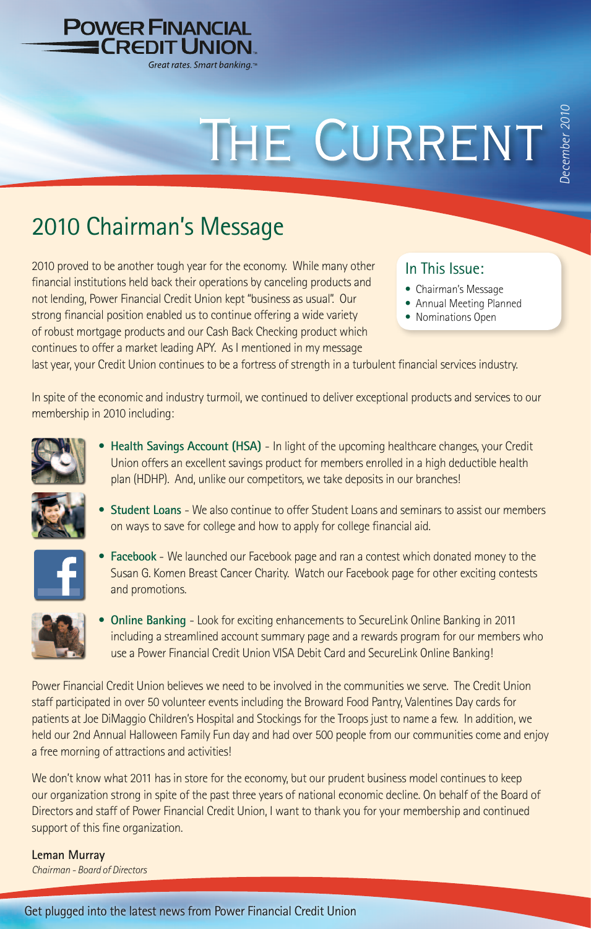

# THE CURRENT

## 2010 Chairman's Message

2010 proved to be another tough year for the economy. While many other financial institutions held back their operations by canceling products and not lending, Power Financial Credit Union kept "business as usual". Our strong financial position enabled us to continue offering a wide variety of robust mortgage products and our Cash Back Checking product which continues to offer a market leading APY. As I mentioned in my message

#### In This Issue:

- Chairman's Message
- Annual Meeting Planned
- Nominations Open

last year, your Credit Union continues to be a fortress of strength in a turbulent financial services industry.

In spite of the economic and industry turmoil, we continued to deliver exceptional products and services to our membership in 2010 including:



**• Health Savings Account (HSA)** - In light of the upcoming healthcare changes, your Credit Union offers an excellent savings product for members enrolled in a high deductible health plan (HDHP). And, unlike our competitors, we take deposits in our branches!



**• Student Loans** - We also continue to offer Student Loans and seminars to assist our members on ways to save for college and how to apply for college financial aid.

$$
\textcolor{red}{\blacktriangle}
$$

**• Facebook** - We launched our Facebook page and ran a contest which donated money to the Susan G. Komen Breast Cancer Charity. Watch our Facebook page for other exciting contests and promotions.



**• Online Banking** - Look for exciting enhancements to SecureLink Online Banking in 2011 including a streamlined account summary page and a rewards program for our members who use a Power Financial Credit Union VISA Debit Card and SecureLink Online Banking!

Power Financial Credit Union believes we need to be involved in the communities we serve. The Credit Union staff participated in over 50 volunteer events including the Broward Food Pantry, Valentines Day cards for patients at Joe DiMaggio Children's Hospital and Stockings for the Troops just to name a few. In addition, we held our 2nd Annual Halloween Family Fun day and had over 500 people from our communities come and enjoy a free morning of attractions and activities!

We don't know what 2011 has in store for the economy, but our prudent business model continues to keep our organization strong in spite of the past three years of national economic decline. On behalf of the Board of Directors and staff of Power Financial Credit Union, I want to thank you for your membership and continued support of this fine organization.

**Leman Murray** *Chairman - Board of Directors*